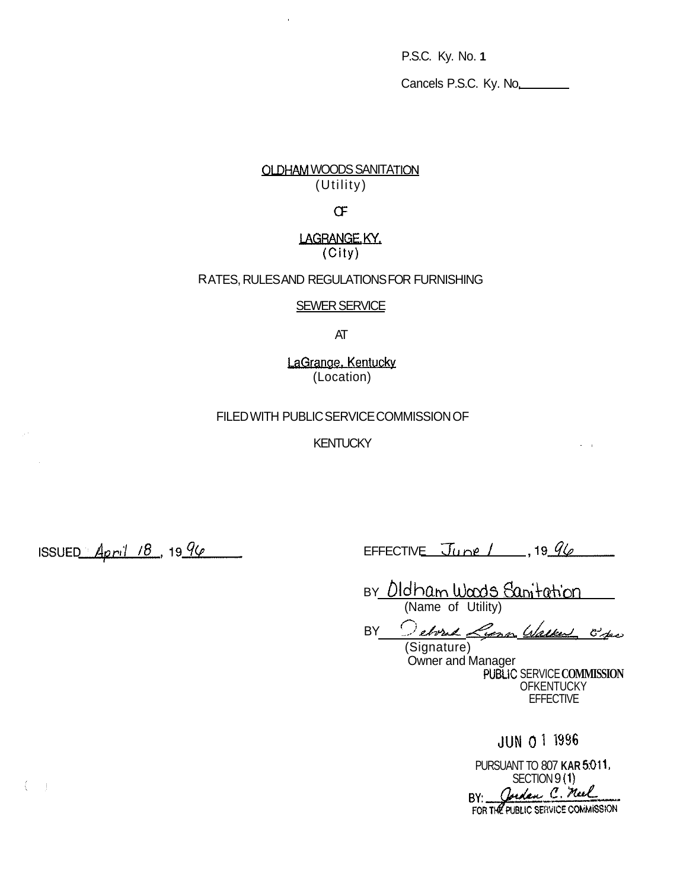P.S.C. Ky. No. **1** 

Cancels P.S.C. Ky. No,

# **OLDHAM WOODS SANITATION** (Utility)

 $\bar{a}$ 

# *CF*

## LAGRANGE. KY. (City)

## ATES, RULES AND REGULATIONS FOR FURNISHING R

## SEWER SERVICE

AT

LaGrange, Kentucky (Location)

## FILED WITH PUBLIC SERVICE COMMISSION OF

**KENTUCKY** 

 $ISSUED\_April 78, 1996$ 

 $\left( -\right)$ 

EFFECTIVE  $\overline{J}$ une / , 19  $96$ 

BY *D*Idham Wads Sanitation

BY *Charmandon Current*<br>
(Name of Utility)<br>
BY *Cerra Cerra Glatter* 6/2

Owner and Manager PUBLiC SERVICE **COMMISSION OFKENTUCKY EFFECTIVE** 

JUN 0 1 1996

 $\omega_{\rm{max}}$ 

PURSUANT TO 807 **KAR 501 1.**  SECTION 9 (1) BY: Cordan C. Meel<br>FOR THE PUBLIC SERVICE COMMISSION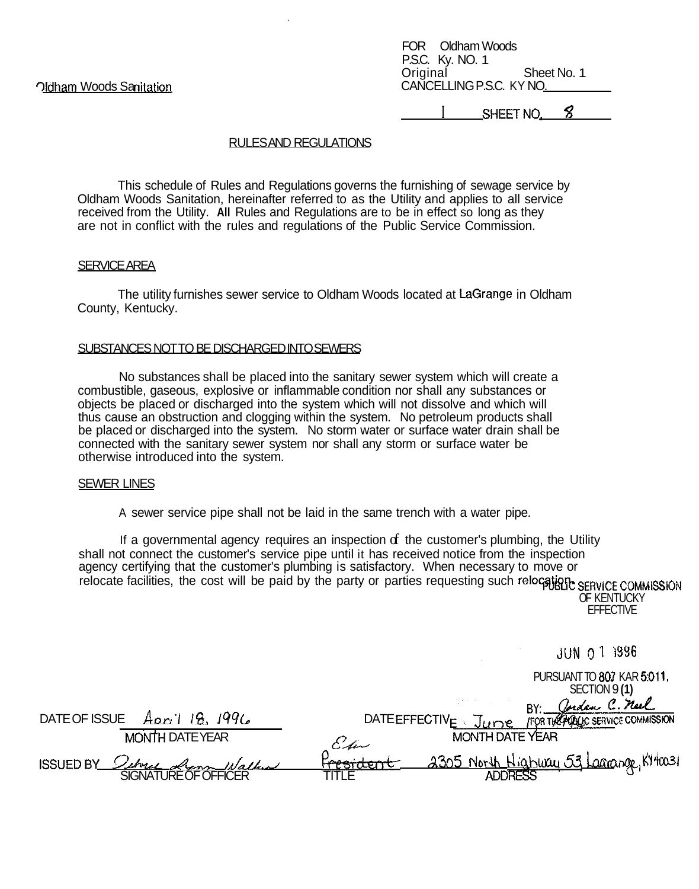FOR Oldham Woods P.S.C. Ky. NO. 1 Original Sheet No. 1 CANCELLING P.S.C. KY NO.

SHEET NO.

## **RULESAND REGULATIONS**

This schedule of Rules and Regulations governs the furnishing of sewage service by Oldham Woods Sanitation, hereinafter referred to as the Utility and applies to all service received from the Utility. All Rules and Regulations are to be in effect so long as they are not in conflict with the rules and regulations of the Public Service Commission.

#### **SERVICE AREA**

The utility furnishes sewer service to Oldham Woods located at LaGrange in Oldham County, Kentucky.

## SUBSTANCES NOT TO BE DISCHARGED INTO SEWERS

No substances shall be placed into the sanitary sewer system which will create a combustible, gaseous, explosive or inflammable condition nor shall any substances or objects be placed or discharged into the system which will not dissolve and which will thus cause an obstruction and clogging within the system. No petroleum products shall be placed or discharged into the system. No storm water or surface water drain shall be connected with the sanitary sewer system nor shall any storm or surface water be otherwise introduced into the system.

#### **SEWER LINES**

A sewer service pipe shall not be laid in the same trench with a water pipe.

If a governmental agency requires an inspection  $f$  the customer's plumbing, the Utility shall not connect the customer's service pipe until it has received notice from the inspection agency certifying that the customer's plumbing is satisfactory. When necessary to move or relocate facilities, the cost will be paid by the party or parties requesting such relocate facilities, the cost will be paid by the party or parties requesting such relocate facilities, the cost will be paid by the party

OF KENTUCKY **EFFECTIVE** 

**JUN 0 1 1996** PURSUANT TO 807 KAR 5:011. SECTION 9(1) Cordan C. neel DATE OF ISSUE Apr 1 18, 1996<br>MONTH DATE YEAR<br>ISSUED BY *Coloral Record Walked* BY: DATEEFFECTIVE June FOR THE POLICE COMMISSION MONTH DATE YEAR sident 2305 North Highway 53 Lagrange, KY40031 **ADDRESS**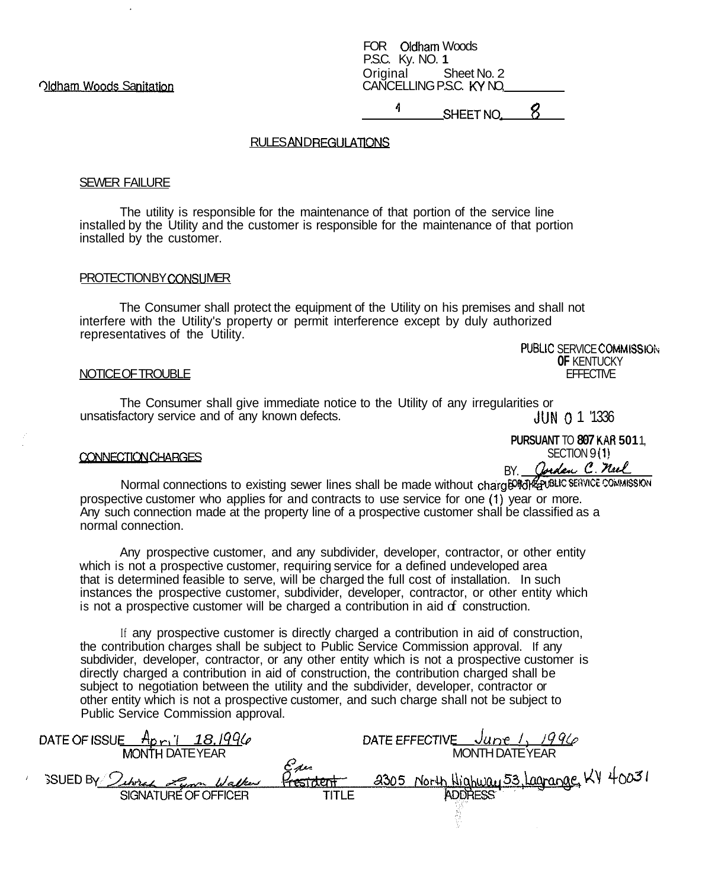**Oldham Woods Sanitation** 

FOR Oldham Woods P.S.C. Ky. NO. **1**  Original Sheet No. 2 CANCELLING P.S.C. KY NO.

SHEETNO, *8* **<sup>1</sup>**

#### **RULES AND REGULATIONS**

#### SEWER FAILURE

The utility is responsible for the maintenance of that portion of the service line installed by the Utility and the customer is responsible for the maintenance of that portion installed by the customer.

#### PROTECTION BY CONSUMER

The Consumer shall protect the equipment of the Utility on his premises and shall not interfere with the Utility's property or permit interference except by duly authorized representatives of the Utility. PUBLIC SERVICE COMMISSION

NOTICE OF TROUBLE

The Consumer shall give immediate notice to the Utility of any irregularities or unsatisfactory service and of any known defects. JUN 0 1 '1336

**PURSUANT** TO **807 KAR 501** 1, SECTION 9 **(1)**  BY. *Corden C. neel* 

**OF** KENTUCKY EFFECTIVE

#### CONNECTION CHARGES

Normal connections to existing sewer lines shall be made without charg<sup>gor</sup>dRepubLic service commission prospective customer who applies for and contracts to use service for one (1) year or more. Any such connection made at the property line of a prospective customer shall be classified as a normal connection.

Any prospective customer, and any subdivider, developer, contractor, or other entity which is not a prospective customer, requiring service for a defined undeveloped area that is determined feasible to serve, will be charged the full cost of installation. In such instances the prospective customer, subdivider, developer, contractor, or other entity which is not a prospective customer will be charged a contribution in aid  $\sigma$  construction.

the contribution charges shall be subject to Public Service Commission approval. If any subdivider, developer, contractor, or any other entity which is not a prospective customer is directly charged a contribution in aid of construction, the contribution charged shall be subject to negotiation between the utility and the subdivider, developer, contractor or other entity which is not a prospective customer, and such charge shall not be subject to Public Service Commission approval. If any prospective customer is directly charged a contribution in aid of construction,

| A <sub>ori</sub><br>181996<br>DATE OF ISSUE<br>MONTH DATE YEAR |                         | 19912<br>DATE EFFECTIVE<br>– June-<br><b>MONTH DATE YEAR</b> |
|----------------------------------------------------------------|-------------------------|--------------------------------------------------------------|
| BUED By Subrac Lynn Walker                                     | سرس<br><b>Fresident</b> | North Highway 53, Lagrange, KY 40031<br>3305                 |
| SIGNATURE OF OFFICER                                           | TITLE                   |                                                              |
|                                                                |                         |                                                              |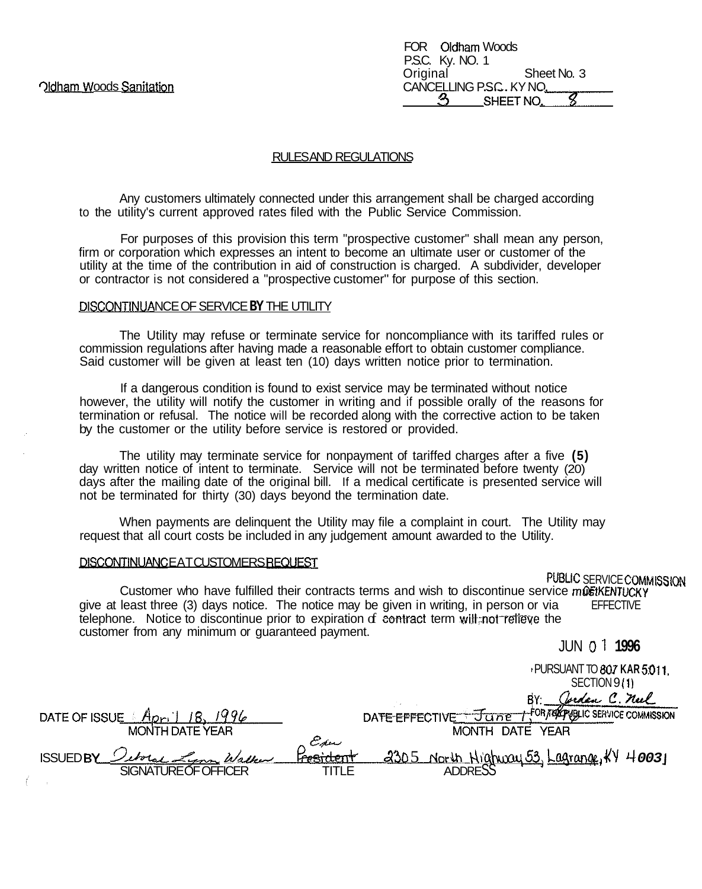| FOR Oldham Woods        |  |
|-------------------------|--|
| P.S.C. Ky. NO. 1        |  |
| Original<br>Sheet No. 3 |  |
| CANCELLING P.S.C. KY NO |  |
| SHEET NO.               |  |

#### RULES AND REGULATIONS

Any customers ultimately connected under this arrangement shall be charged according to the utility's current approved rates filed with the Public Service Commission.

For purposes of this provision this term "prospective customer" shall mean any person, firm or corporation which expresses an intent to become an ultimate user or customer of the utility at the time of the contribution in aid of construction is charged. A subdivider, developer or contractor is not considered a "prospective customer" for purpose of this section.

## PISCONTINUA NCE OF SERVICE **BY** THE UTILITY

The Utility may refuse or terminate service for noncompliance with its tariffed rules or commission regulations after having made a reasonable effort to obtain customer compliance. Said customer will be given at least ten (10) days written notice prior to termination.

If a dangerous condition is found to exist service may be terminated without notice however, the utility will notify the customer in writing and if possible orally of the reasons for termination or refusal. The notice will be recorded along with the corrective action to be taken by the customer or the utility before service is restored or provided.

The utility may terminate service for nonpayment of tariffed charges after a five **(5)**  day written notice of intent to terminate. Service will not be terminated before twenty (20) days after the mailing date of the original bill. If a medical certificate is presented service will not be terminated for thirty (30) days beyond the termination date.

When payments are delinquent the Utility may file a complaint in court. The Utility may request that all court costs be included in any judgement amount awarded to the Utility.

#### DISCONTINUANCEAT CUSTOMERS REQUEST

# PUBLIC SERVICE COMMISSION

**FFFFCTIVE** Customer who have fulfilled their contracts terms and wish to discontinue service mOSTKENTUCKY give at least three (3) days notice. The notice may be given in writing, in person or via telephone. Notice to discontinue prior to expiration of contract term will not relieve the customer from any minimum or guaranteed payment.

JUN 01 **1996**  I PURSUANT TO *807* **KAR 501 1,**  SECTION 9 **(1)**  BY: Oveden C. neel FOR TEACPUBLIC SERVICE COMMISSION DATE OF ISSUE April 18, 1996<br>MONTH DATE YEAR<br>ISSUED BY *<u>Outre Figure Assident a*305 North Highway 53</u>, Lagrange, KY 40031 DATE EFFECTIVE June SIGNATURE OF OFFICER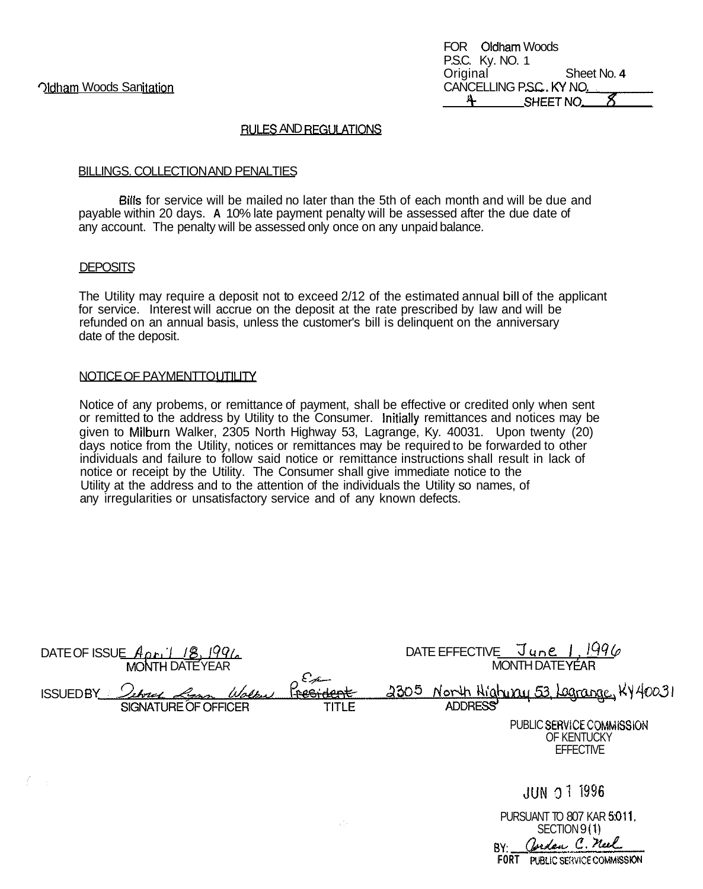## **RULES AND REGULATIONS**

#### BILLINGS. COLLECTION AND PENALTIES

Bills for service will be mailed no later than the 5th of each month and will be due and payable within 20 days. **A** 10% late payment penalty will be assessed after the due date of any account. The penalty will be assessed only once on any unpaid balance.

#### **DEPOSITS**

The Utility may require a deposit not to exceed 2/12 of the estimated annual bill of the applicant for service. Interest will accrue on the deposit at the rate prescribed by law and will be refunded on an annual basis, unless the customer's bill is delinquent on the anniversary date of the deposit.

#### NOTICE OF PAYMENTTO UTILITY

Notice of any probems, or remittance of payment, shall be effective or credited only when sent or remitted to the address by Utility to the Consumer. Initially remittances and notices may be given to Milburn Walker, 2305 North Highway 53, Lagrange, Ky. 40031. Upon twenty (20) days notice from the Utility, notices or remittances may be required to be forwarded to other individuals and failure to follow said notice or remittance instructions shall result in lack of notice or receipt by the Utility. The Consumer shall give immediate notice to the Utility at the address and to the attention of the individuals the Utility so names, of any irregularities or unsatisfactory service and of any known defects.

| DATE OF ISSUE $A_{DF}$ , $1/8$ , $1996$<br><b>MONTH DATE YEAR</b> |                                  | 1996<br>June<br>DATE EFFECTIVE<br><b>MONTH DATEYEAR</b>                                                  |
|-------------------------------------------------------------------|----------------------------------|----------------------------------------------------------------------------------------------------------|
| <b>ISSUEDBY_</b><br>ソハマーイ<br>Lynn<br>SIGNATURE OF OFFICER         | $\epsilon_{\mu}$<br><b>TITLE</b> | <u>North Highway 53 Lagrange</u> , KY 40031<br><u> 2305 </u><br>ADDRESS                                  |
|                                                                   |                                  | PUBLIC SERVICE COMMISSION<br>OF KENTUCKY<br><b>EFFECTIVE</b>                                             |
|                                                                   |                                  | <b>JUN 0 1 1996</b>                                                                                      |
|                                                                   | χŅ                               | PURSUANT TO 807 KAR 5:011.<br>SECTION 9(1)<br>Jordan C. Neel<br>BY:<br>PUBLIC SERVICE COMMISSION<br>FORT |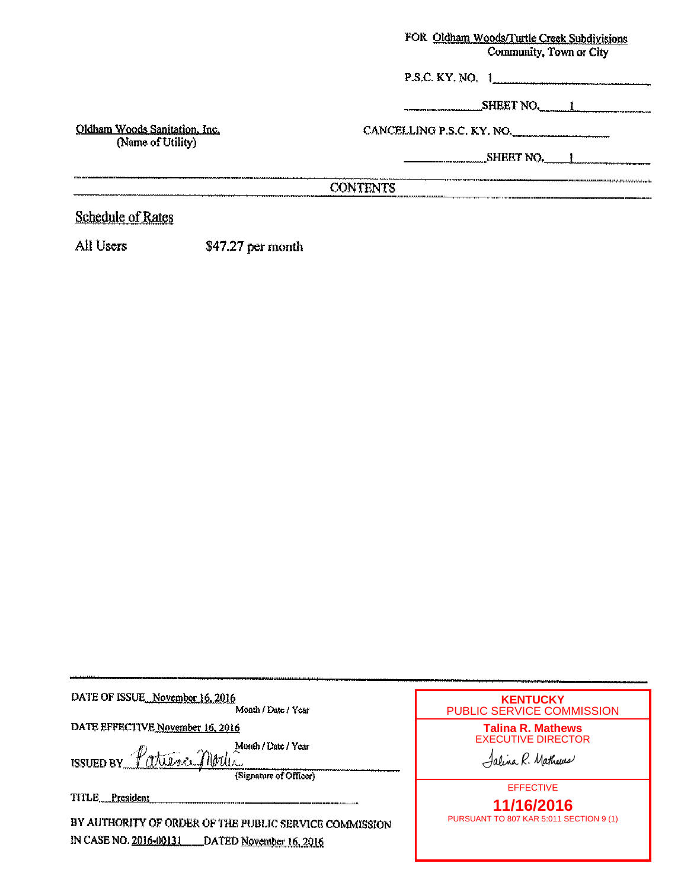## FOR Oldham Woods/Turtle Creek Subdivisions Community, Town or City

P.S.C. KY, NO.  $1$ 

SHEET NO.

CANCELLING P.S.C. KY. NO.

SHEET NO. 1

# **CONTENTS**

# **Schedule of Rates**

Oldham Woods Sanitation, Inc.

(Name of Utility)

All Users \$47.27 per month

<u> 1989 - Johann Harry Harry Harry Harry Harry Harry Harry Harry Harry Harry Harry Harry Harry Harry Harry Harry Harry Harry Harry Harry Harry Harry Harry Harry Harry Harry Harry Harry Harry Harry Harry Harry Harry Harry Ha</u>

| DATE OF ISSUE November 16, 2016                                                                               | <b>KENTUCKY</b>                                                            |
|---------------------------------------------------------------------------------------------------------------|----------------------------------------------------------------------------|
| Month / Date / Year                                                                                           | <b>PUBLIC SERVICE COMMISSION</b>                                           |
| DATE EFFECTIVE November 16, 2016<br>Month / Date / Year<br>ISSUED BY Patience Moder<br>(Signature of Officer) | <b>Talina R. Mathews</b><br><b>EXECUTIVE DIRECTOR</b><br>Jalina R. Mathews |
| TITLE <sub>_President</sub>                                                                                   | <b>EFFECTIVE</b>                                                           |
| BY AUTHORITY OF ORDER OF THE PUBLIC SERVICE COMMISSION                                                        | 11/16/2016                                                                 |
| IN CASE NO. 2016-00131 DATED November 16, 2016                                                                | PURSUANT TO 807 KAR 5:011 SECTION 9 (1)                                    |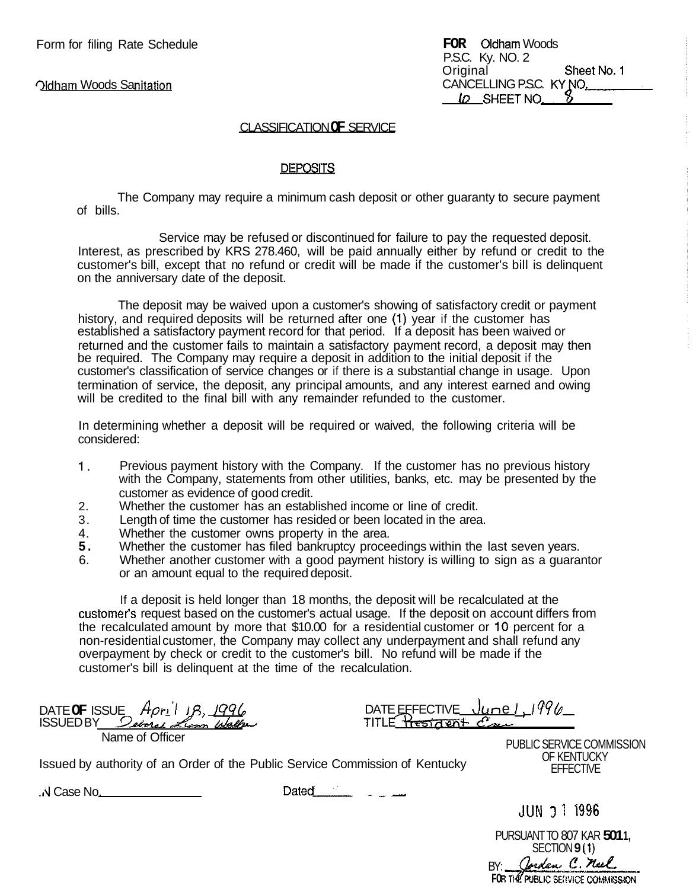**Oldham Woods Sanitation** 

|          | <b>FOR</b> Oldham Woods  |             |
|----------|--------------------------|-------------|
|          | P.S.C. Ky. NO. 2         |             |
| Original |                          | Sheet No. 1 |
|          | CANCELLING P.S.C. KY NO. |             |
|          | LO SHEET NO.             |             |

## CLASSIFICATION **OF** SERVICE

#### DEPOSITS

The Company may require a minimum cash deposit or other guaranty to secure payment of bills.

Service may be refused or discontinued for failure to pay the requested deposit. Interest, as prescribed by KRS 278.460, will be paid annually either by refund or credit to the customer's bill, except that no refund or credit will be made if the customer's bill is delinquent on the anniversary date of the deposit.

The deposit may be waived upon a customer's showing of satisfactory credit or payment history, and required deposits will be returned after one **(1)** year if the customer has established a satisfactory payment record for that period. If a deposit has been waived or returned and the customer fails to maintain a satisfactory payment record, a deposit may then be required. The Company may require a deposit in addition to the initial deposit if the customer's classification of service changes or if there is a substantial change in usage. Upon termination of service, the deposit, any principal amounts, and any interest earned and owing will be credited to the final bill with any remainder refunded to the customer.

In determining whether a deposit will be required or waived, the following criteria will be considered:

- 1. Previous payment history with the Company. If the customer has no previous history with the Company, statements from other utilities, banks, etc. may be presented by the customer as evidence of good credit.
- Whether the customer has an established income or line of credit. 2.
- Length of time the customer has resided or been located in the area. 3.
- Whether the customer owns property in the area. 4.
- Whether the customer has filed bankruptcy proceedings within the last seven years. **5.**
- Whether another customer with a good payment history is willing to sign as a guarantor or an amount equal to the required deposit. 6.

If a deposit is held longer than 18 months, the deposit will be recalculated at the customer's request based on the customer's actual usage. If the deposit on account differs from the recalculated amount by more that \$10.00 for a residential customer or 10 percent for a non-residential customer, the Company may collect any underpayment and shall refund any overpayment by check or credit to the customer's bill. No refund will be made if the customer's bill is delinquent at the time of the recalculation.

DATE **OF** ISSUE *h rl'l 18: 1996*  DATE OF ISSUE Apr<u>il 18, 1996</u><br>ISSUEDBY *Seberal Lion Walle*<br>ITILE <del>President Com</del> Name of Officer

Issued by authority of an Order of the Public Service Commission of Kentucky<br>
N Case No. Dated **Dated** 

PUBLIC SERVICE COMMISSION OF KENTUCKY EFFECTIVE

**JUN 37 1996** 

PURSUANT TO 807 KAR **501 1,**  SECTION **9 (1)**  BY **FO**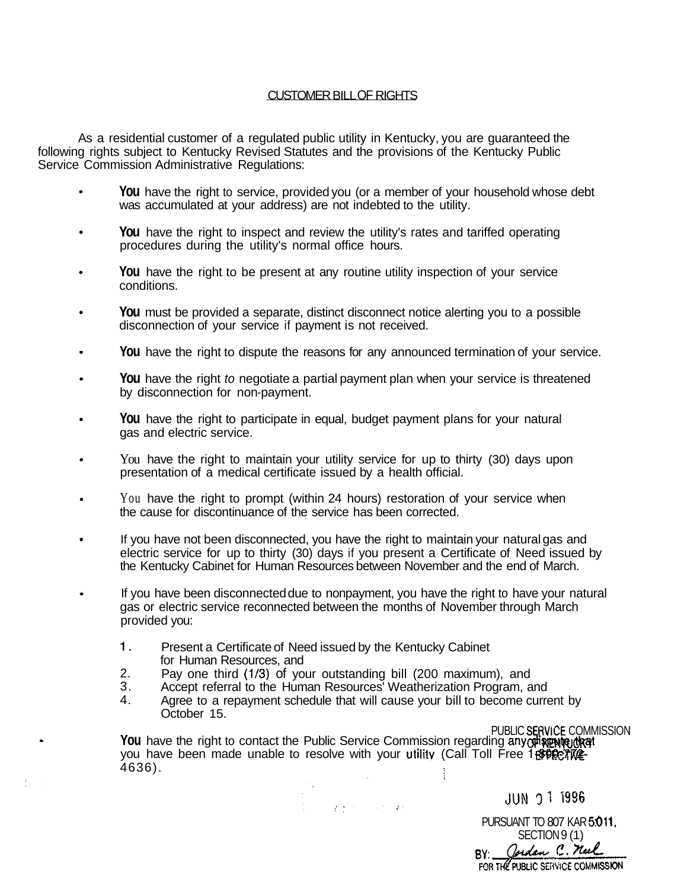## CUSTOMER BILL OF RIGHTS

As a residential customer of a regulated public utility in Kentucky, you are guaranteed the following rights subject to Kentucky Revised Statutes and the provisions of the Kentucky Public Service Commission Administrative Regulations:

- **You** have the right to service, provided you (or a member of your household whose debt  $\bullet$ was accumulated at your address) are not indebted to the utility.
- **You** have the right to inspect and review the utility's rates and tariffed operating  $\ddot{\phantom{0}}$ procedures during the utility's normal office hours.
- **You** have the right to be present at any routine utility inspection of your service conditions.
- **You** must be provided a separate, distinct disconnect notice alerting you to a possible disconnection of your service if payment is not received.
- **You** have the right to dispute the reasons for any announced termination of your service.  $\ddot{\phantom{a}}$
- **You** have the right *to* negotiate a partial payment plan when your service is threatened by disconnection for non-payment.
- **You** have the right to participate in equal, budget payment plans for your natural gas and electric service.
- You have the right to maintain your utility service for up to thirty (30) days upon presentation of a medical certificate issued by a health official.
- You have the right to prompt (within 24 hours) restoration of your service when the cause for discontinuance of the service has been corrected.
- If you have not been disconnected, you have the right to maintain your natural gas and electric service for up to thirty (30) days if you present a Certificate of Need issued by the Kentucky Cabinet for Human Resources between November and the end of March.
	- If you have been disconnected due to nonpayment, you have the right to have your natural gas or electric service reconnected between the months of November through March provided you:
		- 1. Present a Certificate of Need issued by the Kentucky Cabinet for Human Resources, and

 $\bullet$ 

- 2. Pay one third **(1/3)** of your outstanding bill (200 maximum), and
- 3. Accept referral to the Human Resources' Weatherization Program, and
- 4. Agree to a repayment schedule that will cause your bill to become current by October 15.

 $\frac{1}{N}\left( \left\langle \mathbf{r}^{\left(1\right)},\mathbf{r}^{\left(2\right)}\right\rangle \right) =\left\langle \mathbf{r}^{\left(2\right)},\mathbf{r}^{\left(3\right)}\right\rangle \right) =\left\langle \mathbf{r}^{\left(2\right)},\mathbf{r}^{\left(3\right)}\right\rangle \left\langle \mathbf{r}^{\left(3\right)}\right\rangle \right) =\left\langle \mathbf{r}^{\left(3\right)},\mathbf{r}^{\left(4\right)}\right\rangle \left\langle \mathbf{r}^{\left(4\right)},\mathbf{r}^{\left(5\right)}\$ 

PUBLIC **SERViCE** COMMISSION You have the right to contact the Public Service Commission regarding anyoristen you have been made unable to resolve with your utility (Call Toll Free 18 \$99.67 WE-4636).

> **JUN 0 1 1996** PURSUANT TO 807 KAR **591 1,**  SECTION 9(1)<br>BY: Cordan C. Neel FOR THE PUBLIC SERVICE COMMISSION